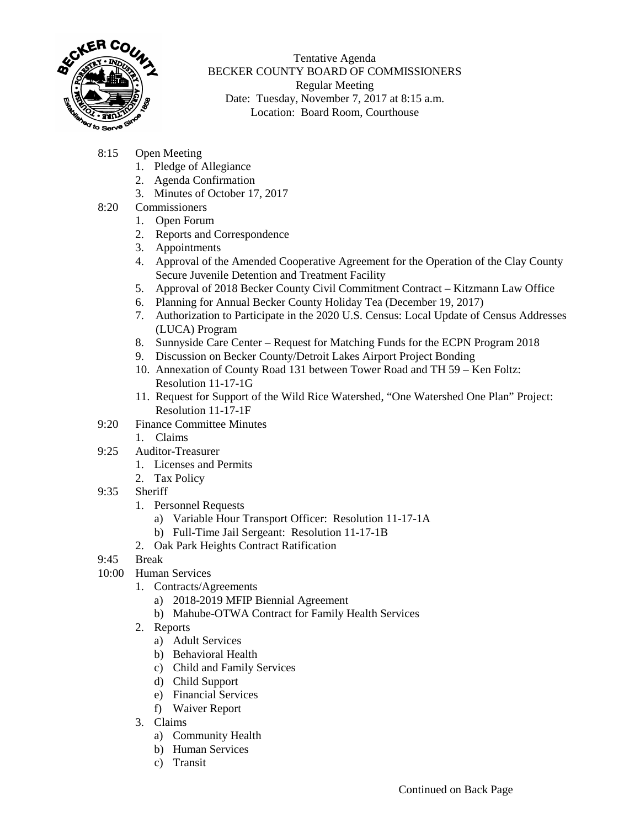

Tentative Agenda BECKER COUNTY BOARD OF COMMISSIONERS Regular Meeting Date: Tuesday, November 7, 2017 at 8:15 a.m. Location: Board Room, Courthouse

- 8:15 Open Meeting
	- 1. Pledge of Allegiance
	- 2. Agenda Confirmation
	- 3. Minutes of October 17, 2017
- 8:20 Commissioners
	- 1. Open Forum
	- 2. Reports and Correspondence
	- 3. Appointments
	- 4. Approval of the Amended Cooperative Agreement for the Operation of the Clay County Secure Juvenile Detention and Treatment Facility
	- 5. Approval of 2018 Becker County Civil Commitment Contract Kitzmann Law Office
	- 6. Planning for Annual Becker County Holiday Tea (December 19, 2017)
	- 7. Authorization to Participate in the 2020 U.S. Census: Local Update of Census Addresses (LUCA) Program
	- 8. Sunnyside Care Center Request for Matching Funds for the ECPN Program 2018
	- 9. Discussion on Becker County/Detroit Lakes Airport Project Bonding
	- 10. Annexation of County Road 131 between Tower Road and TH 59 Ken Foltz: Resolution 11-17-1G
	- 11. Request for Support of the Wild Rice Watershed, "One Watershed One Plan" Project: Resolution 11-17-1F
- 9:20 Finance Committee Minutes
	- 1. Claims
- 9:25 Auditor-Treasurer
	- 1. Licenses and Permits
	- 2. Tax Policy
- 9:35 Sheriff
	- 1. Personnel Requests
		- a) Variable Hour Transport Officer: Resolution 11-17-1A
		- b) Full-Time Jail Sergeant: Resolution 11-17-1B
	- 2. Oak Park Heights Contract Ratification
- 9:45 Break
- 10:00 Human Services
	- 1. Contracts/Agreements
		- a) 2018-2019 MFIP Biennial Agreement
		- b) Mahube-OTWA Contract for Family Health Services
	- 2. Reports
		- a) Adult Services
		- b) Behavioral Health
		- c) Child and Family Services
		- d) Child Support
		- e) Financial Services
		- f) Waiver Report
	- 3. Claims
		- a) Community Health
		- b) Human Services
		- c) Transit